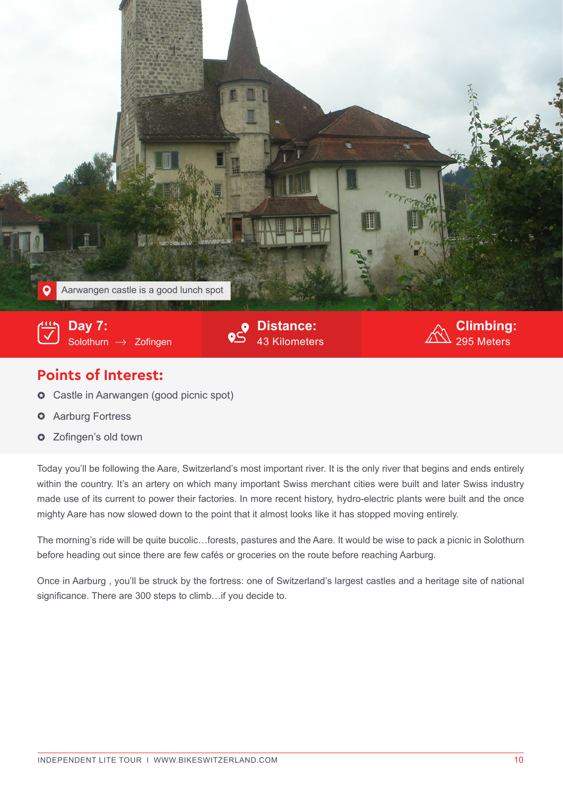

## **Points of Interest:**

- Castle in Aarwangen (good picnic spot)  $\bullet$
- Aarburg Fortress  $\bullet$
- **O** Zofingen's old town

Today you'll be following the Aare, Switzerland's most important river. It is the only river that begins and ends entirely within the country. It's an artery on which many important Swiss merchant cities were built and later Swiss industry made use of its current to power their factories. In more recent history, hydro-electric plants were built and the once mighty Aare has now slowed down to the point that it almost looks like it has stopped moving entirely.

The morning's ride will be quite bucolic…forests, pastures and the Aare. It would be wise to pack a picnic in Solothurn before heading out since there are few cafés or groceries on the route before reaching Aarburg.

Once in Aarburg , you'll be struck by the fortress: one of Switzerland's largest castles and a heritage site of national significance. There are 300 steps to climb…if you decide to.